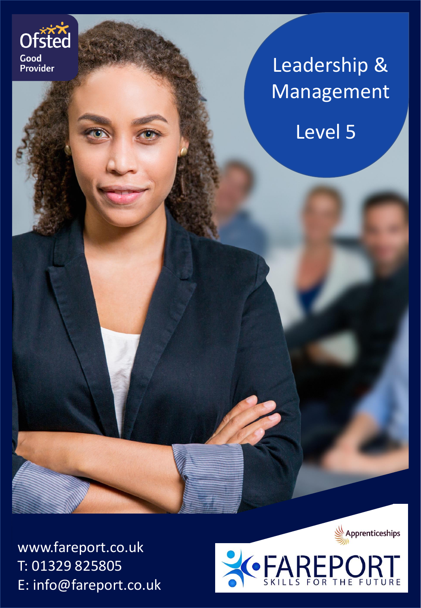

# Leadership & Management

Level 5

www.fareport.co.uk T: 01329 825805 E: info@fareport.co.uk